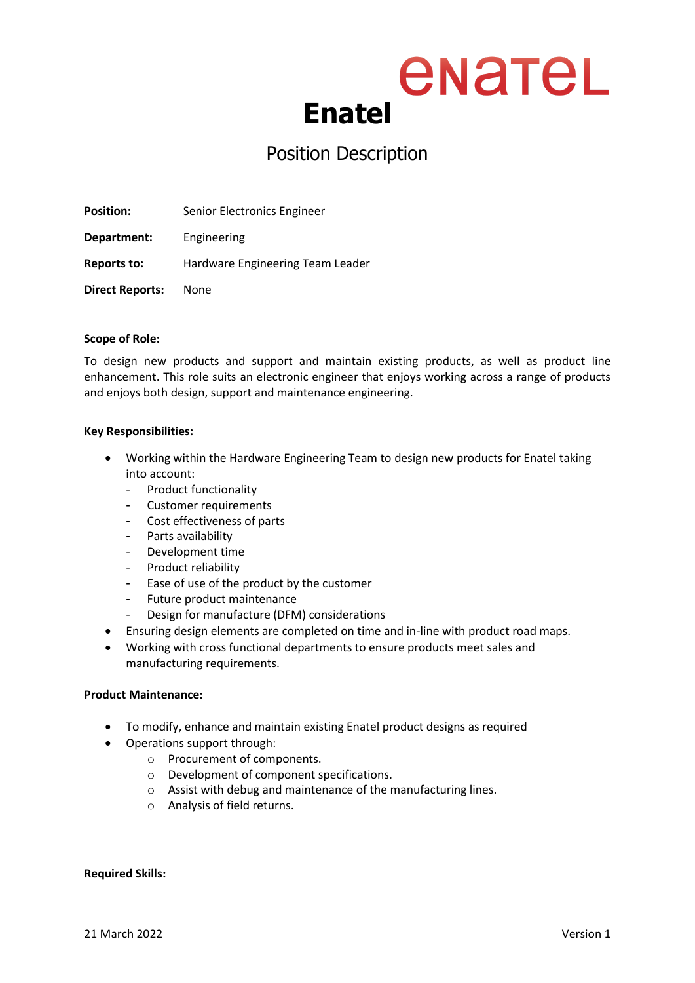### enatel **Enatel**

### Position Description

**Position:** Senior Electronics Engineer

**Department:** Engineering

**Reports to:** Hardware Engineering Team Leader

**Direct Reports:** None

#### **Scope of Role:**

To design new products and support and maintain existing products, as well as product line enhancement. This role suits an electronic engineer that enjoys working across a range of products and enjoys both design, support and maintenance engineering.

#### **Key Responsibilities:**

- Working within the Hardware Engineering Team to design new products for Enatel taking into account:
	- Product functionality
	- Customer requirements
	- Cost effectiveness of parts
	- Parts availability
	- Development time
	- Product reliability
	- Ease of use of the product by the customer
	- Future product maintenance
		- Design for manufacture (DFM) considerations
- Ensuring design elements are completed on time and in-line with product road maps.
- Working with cross functional departments to ensure products meet sales and manufacturing requirements.

#### **Product Maintenance:**

- To modify, enhance and maintain existing Enatel product designs as required
- Operations support through:
	- o Procurement of components.
	- o Development of component specifications.
	- o Assist with debug and maintenance of the manufacturing lines.
	- o Analysis of field returns.

#### **Required Skills:**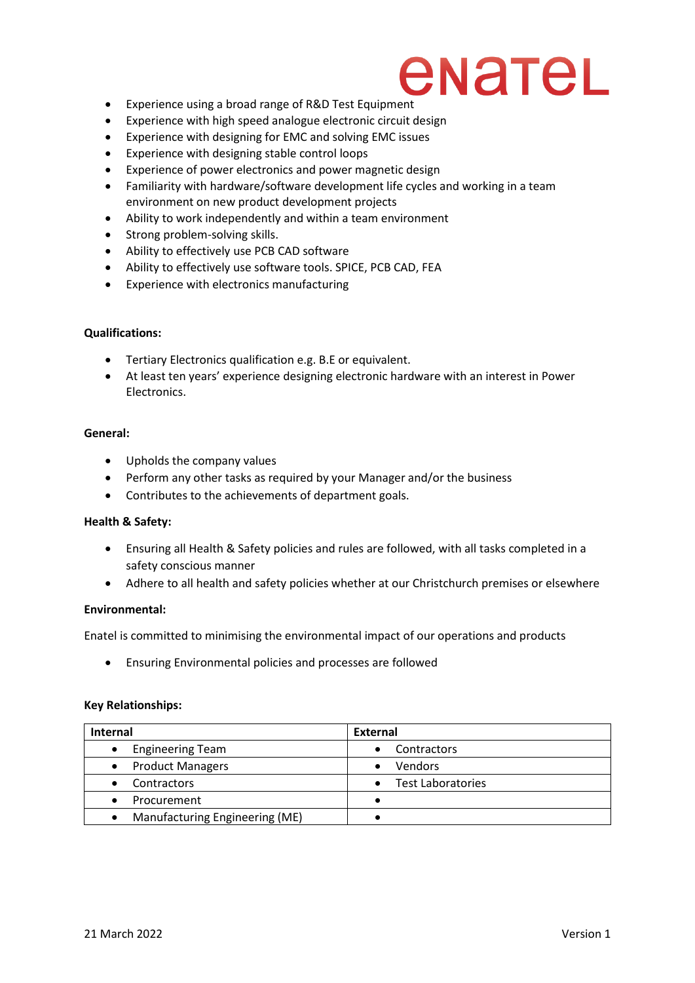### enatel

- Experience using a broad range of R&D Test Equipment
- Experience with high speed analogue electronic circuit design
- Experience with designing for EMC and solving EMC issues
- Experience with designing stable control loops
- Experience of power electronics and power magnetic design
- Familiarity with hardware/software development life cycles and working in a team environment on new product development projects
- Ability to work independently and within a team environment
- Strong problem-solving skills.
- Ability to effectively use PCB CAD software
- Ability to effectively use software tools. SPICE, PCB CAD, FEA
- Experience with electronics manufacturing

#### **Qualifications:**

- Tertiary Electronics qualification e.g. B.E or equivalent.
- At least ten years' experience designing electronic hardware with an interest in Power Electronics.

#### **General:**

- Upholds the company values
- Perform any other tasks as required by your Manager and/or the business
- Contributes to the achievements of department goals.

#### **Health & Safety:**

- Ensuring all Health & Safety policies and rules are followed, with all tasks completed in a safety conscious manner
- Adhere to all health and safety policies whether at our Christchurch premises or elsewhere

#### **Environmental:**

Enatel is committed to minimising the environmental impact of our operations and products

• Ensuring Environmental policies and processes are followed

#### **Key Relationships:**

| <b>Internal</b>                             | External          |  |
|---------------------------------------------|-------------------|--|
| <b>Engineering Team</b>                     | Contractors       |  |
| • Product Managers                          | <b>Vendors</b>    |  |
| <b>Contractors</b>                          | Test Laboratories |  |
| Procurement                                 |                   |  |
| Manufacturing Engineering (ME)<br>$\bullet$ |                   |  |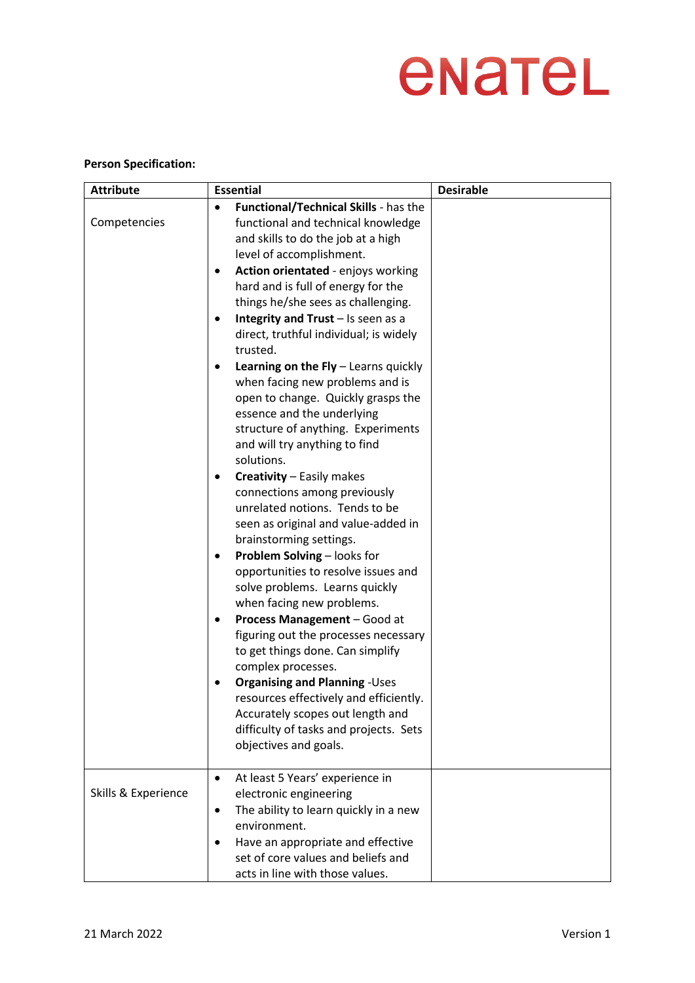# enatel

#### **Person Specification:**

| <b>Attribute</b>    | <b>Essential</b>                                                                                                                                                                                                                                                                                                                                                                                                                                                                                                                                                                                                                                                                                                                                                                                                                                                                                                                                                                                                                                                                                                                                                                                                                                                                                                                                                                                 | <b>Desirable</b> |
|---------------------|--------------------------------------------------------------------------------------------------------------------------------------------------------------------------------------------------------------------------------------------------------------------------------------------------------------------------------------------------------------------------------------------------------------------------------------------------------------------------------------------------------------------------------------------------------------------------------------------------------------------------------------------------------------------------------------------------------------------------------------------------------------------------------------------------------------------------------------------------------------------------------------------------------------------------------------------------------------------------------------------------------------------------------------------------------------------------------------------------------------------------------------------------------------------------------------------------------------------------------------------------------------------------------------------------------------------------------------------------------------------------------------------------|------------------|
| Competencies        | Functional/Technical Skills - has the<br>$\bullet$<br>functional and technical knowledge<br>and skills to do the job at a high<br>level of accomplishment.<br>Action orientated - enjoys working<br>$\bullet$<br>hard and is full of energy for the<br>things he/she sees as challenging.<br>Integrity and Trust - Is seen as a<br>$\bullet$<br>direct, truthful individual; is widely<br>trusted.<br>Learning on the Fly - Learns quickly<br>$\bullet$<br>when facing new problems and is<br>open to change. Quickly grasps the<br>essence and the underlying<br>structure of anything. Experiments<br>and will try anything to find<br>solutions.<br><b>Creativity - Easily makes</b><br>$\bullet$<br>connections among previously<br>unrelated notions. Tends to be<br>seen as original and value-added in<br>brainstorming settings.<br>Problem Solving - looks for<br>$\bullet$<br>opportunities to resolve issues and<br>solve problems. Learns quickly<br>when facing new problems.<br>Process Management - Good at<br>$\bullet$<br>figuring out the processes necessary<br>to get things done. Can simplify<br>complex processes.<br><b>Organising and Planning - Uses</b><br>$\bullet$<br>resources effectively and efficiently.<br>Accurately scopes out length and<br>difficulty of tasks and projects. Sets<br>objectives and goals.<br>At least 5 Years' experience in<br>$\bullet$ |                  |
| Skills & Experience | electronic engineering<br>The ability to learn quickly in a new<br>$\bullet$<br>environment.<br>Have an appropriate and effective<br>$\bullet$<br>set of core values and beliefs and<br>acts in line with those values.                                                                                                                                                                                                                                                                                                                                                                                                                                                                                                                                                                                                                                                                                                                                                                                                                                                                                                                                                                                                                                                                                                                                                                          |                  |